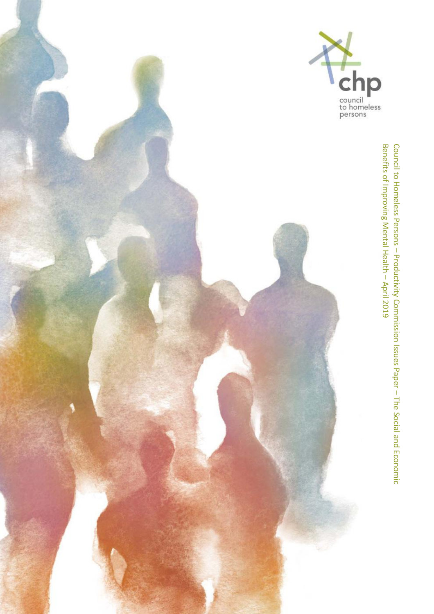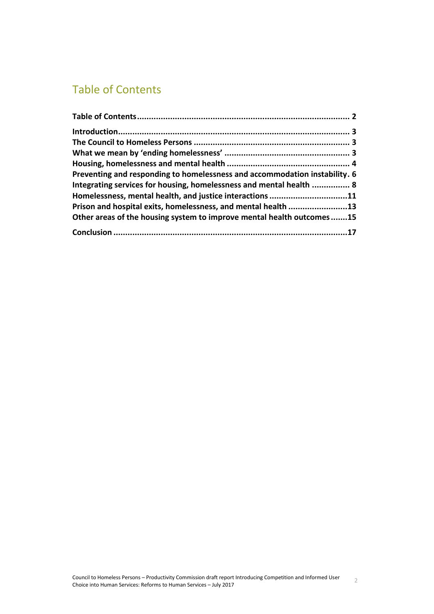# <span id="page-1-0"></span>Table of Contents

| Preventing and responding to homelessness and accommodation instability. 6 |  |
|----------------------------------------------------------------------------|--|
| Integrating services for housing, homelessness and mental health  8        |  |
| Homelessness, mental health, and justice interactions 11                   |  |
| Prison and hospital exits, homelessness, and mental health 13              |  |
| Other areas of the housing system to improve mental health outcomes15      |  |
|                                                                            |  |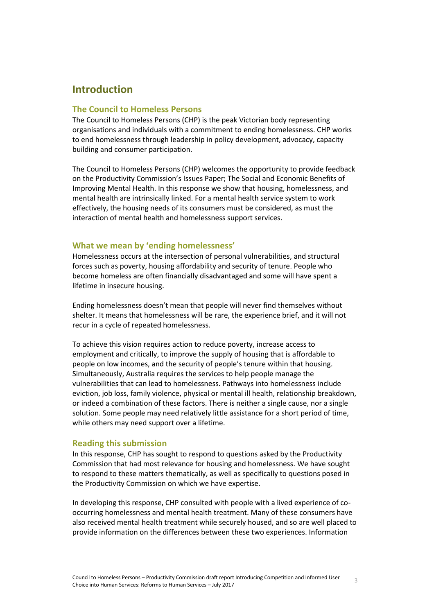## <span id="page-2-0"></span>**Introduction**

#### <span id="page-2-1"></span>**The Council to Homeless Persons**

The Council to Homeless Persons (CHP) is the peak Victorian body representing organisations and individuals with a commitment to ending homelessness. CHP works to end homelessness through leadership in policy development, advocacy, capacity building and consumer participation.

The Council to Homeless Persons (CHP) welcomes the opportunity to provide feedback on the Productivity Commission's Issues Paper; The Social and Economic Benefits of Improving Mental Health. In this response we show that housing, homelessness, and mental health are intrinsically linked. For a mental health service system to work effectively, the housing needs of its consumers must be considered, as must the interaction of mental health and homelessness support services.

#### <span id="page-2-2"></span>**What we mean by 'ending homelessness'**

Homelessness occurs at the intersection of personal vulnerabilities, and structural forces such as poverty, housing affordability and security of tenure. People who become homeless are often financially disadvantaged and some will have spent a lifetime in insecure housing.

Ending homelessness doesn't mean that people will never find themselves without shelter. It means that homelessness will be rare, the experience brief, and it will not recur in a cycle of repeated homelessness.

To achieve this vision requires action to reduce poverty, increase access to employment and critically, to improve the supply of housing that is affordable to people on low incomes, and the security of people's tenure within that housing. Simultaneously, Australia requires the services to help people manage the vulnerabilities that can lead to homelessness. Pathways into homelessness include eviction, job loss, family violence, physical or mental ill health, relationship breakdown, or indeed a combination of these factors. There is neither a single cause, nor a single solution. Some people may need relatively little assistance for a short period of time, while others may need support over a lifetime.

#### **Reading this submission**

In this response, CHP has sought to respond to questions asked by the Productivity Commission that had most relevance for housing and homelessness. We have sought to respond to these matters thematically, as well as specifically to questions posed in the Productivity Commission on which we have expertise.

In developing this response, CHP consulted with people with a lived experience of cooccurring homelessness and mental health treatment. Many of these consumers have also received mental health treatment while securely housed, and so are well placed to provide information on the differences between these two experiences. Information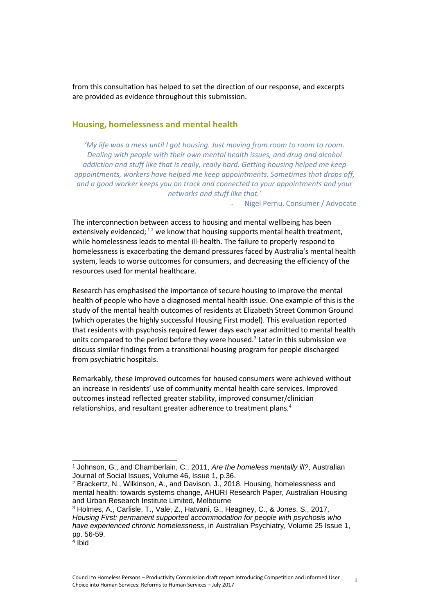from this consultation has helped to set the direction of our response, and excerpts are provided as evidence throughout this submission.

#### <span id="page-3-0"></span>**Housing, homelessness and mental health**

*'My life was a mess until I got housing. Just moving from room to room to room. Dealing with people with their own mental health issues, and drug and alcohol addiction and stuff like that is really, really hard. Getting housing helped me keep appointments, workers have helped me keep appointments. Sometimes that drops off, and a good worker keeps you on track and connected to your appointments and your networks and stuff like that.'*

- Nigel Pernu, Consumer / Advocate

The interconnection between access to housing and mental wellbeing has been extensively evidenced;<sup>12</sup> we know that housing supports mental health treatment, while homelessness leads to mental ill-health. The failure to properly respond to homelessness is exacerbating the demand pressures faced by Australia's mental health system, leads to worse outcomes for consumers, and decreasing the efficiency of the resources used for mental healthcare.

Research has emphasised the importance of secure housing to improve the mental health of people who have a diagnosed mental health issue. One example of this is the study of the mental health outcomes of residents at Elizabeth Street Common Ground (which operates the highly successful Housing First model). This evaluation reported that residents with psychosis required fewer days each year admitted to mental health units compared to the period before they were housed.<sup>3</sup> Later in this submission we discuss similar findings from a transitional housing program for people discharged from psychiatric hospitals.

Remarkably, these improved outcomes for housed consumers were achieved without an increase in residents' use of community mental health care services. Improved outcomes instead reflected greater stability, improved consumer/clinician relationships, and resultant greater adherence to treatment plans.<sup>4</sup>

<sup>1</sup> Johnson, G., and Chamberlain, C., 2011, *Are the homeless mentally ill?*, Australian Journal of Social Issues, Volume 46, Issue 1, p.36.

<sup>2</sup> Brackertz, N., Wilkinson, A., and Davison, J., 2018, Housing, homelessness and mental health: towards systems change, AHURI Research Paper, Australian Housing and Urban Research Institute Limited, Melbourne

<sup>3</sup> Holmes, A., Carlisle, T., Vale, Z., Hatvani, G., Heagney, C., & Jones, S., 2017, *Housing First: permanent supported accommodation for people with psychosis who have experienced chronic homelessness*, in Australian Psychiatry, Volume 25 Issue 1, pp. 56-59.

<sup>4</sup> Ibid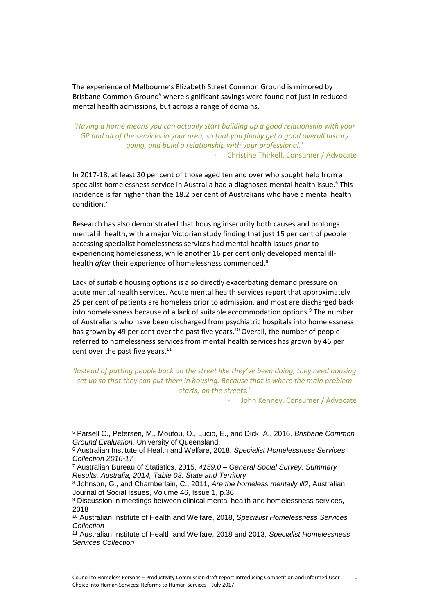The experience of Melbourne's Elizabeth Street Common Ground is mirrored by Brisbane Common Ground<sup>5</sup> where significant savings were found not just in reduced mental health admissions, but across a range of domains.

*'Having a home means you can actually start building up a good relationship with your GP and all of the services in your area, so that you finally get a good overall history going, and build a relationship with your professional.'* - Christine Thirkell, Consumer / Advocate

In 2017-18, at least 30 per cent of those aged ten and over who sought help from a specialist homelessness service in Australia had a diagnosed mental health issue.<sup>6</sup> This incidence is far higher than the 18.2 per cent of Australians who have a mental health condition.<sup>7</sup>

Research has also demonstrated that housing insecurity both causes and prolongs mental ill health, with a major Victorian study finding that just 15 per cent of people accessing specialist homelessness services had mental health issues *prior* to experiencing homelessness, while another 16 per cent only developed mental illhealth *after* their experience of homelessness commenced.<sup>8</sup>

Lack of suitable housing options is also directly exacerbating demand pressure on acute mental health services. Acute mental health services report that approximately 25 per cent of patients are homeless prior to admission, and most are discharged back into homelessness because of a lack of suitable accommodation options.<sup>9</sup> The number of Australians who have been discharged from psychiatric hospitals into homelessness has grown by 49 per cent over the past five years.<sup>10</sup> Overall, the number of people referred to homelessness services from mental health services has grown by 46 per cent over the past five years. $11$ 

*'Instead of putting people back on the street like they've been doing, they need housing set up so that they can put them in housing. Because that is where the main problem starts; on the streets.'*

John Kenney, Consumer / Advocate

l

<sup>5</sup> Parsell C., Petersen, M., Moutou, O., Lucio, E., and Dick, A., 2016, *Brisbane Common Ground Evaluation,* University of Queensland.

<sup>6</sup> Australian Institute of Health and Welfare, 2018, *Specialist Homelessness Services Collection 2016-17*

<sup>7</sup> Australian Bureau of Statistics, 2015, *4159.0 – General Social Survey: Summary Results, Australia, 2014, Table 03. State and Territory*

<sup>8</sup> Johnson, G., and Chamberlain, C., 2011, *Are the homeless mentally ill?*, Australian Journal of Social Issues, Volume 46, Issue 1, p.36.

<sup>9</sup> Discussion in meetings between clinical mental health and homelessness services, 2018

<sup>10</sup> Australian Institute of Health and Welfare, 2018, *Specialist Homelessness Services Collection*

<sup>11</sup> Australian Institute of Health and Welfare, 2018 and 2013, *Specialist Homelessness Services Collection*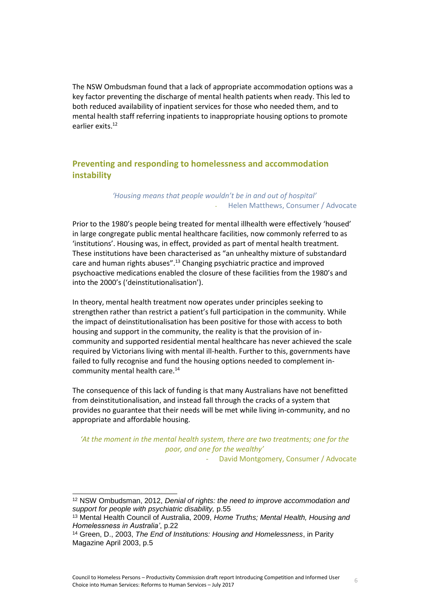The NSW Ombudsman found that a lack of appropriate accommodation options was a key factor preventing the discharge of mental health patients when ready. This led to both reduced availability of inpatient services for those who needed them, and to mental health staff referring inpatients to inappropriate housing options to promote earlier exits.<sup>12</sup>

## <span id="page-5-0"></span>**Preventing and responding to homelessness and accommodation instability**

#### *'Housing means that people wouldn't be in and out of hospital'* - Helen Matthews, Consumer / Advocate

Prior to the 1980's people being treated for mental illhealth were effectively 'housed' in large congregate public mental healthcare facilities, now commonly referred to as 'institutions'. Housing was, in effect, provided as part of mental health treatment. These institutions have been characterised as "an unhealthy mixture of substandard care and human rights abuses".<sup>13</sup> Changing psychiatric practice and improved psychoactive medications enabled the closure of these facilities from the 1980's and into the 2000's ('deinstitutionalisation').

In theory, mental health treatment now operates under principles seeking to strengthen rather than restrict a patient's full participation in the community. While the impact of deinstitutionalisation has been positive for those with access to both housing and support in the community, the reality is that the provision of incommunity and supported residential mental healthcare has never achieved the scale required by Victorians living with mental ill-health. Further to this, governments have failed to fully recognise and fund the housing options needed to complement incommunity mental health care.<sup>14</sup>

The consequence of this lack of funding is that many Australians have not benefitted from deinstitutionalisation, and instead fall through the cracks of a system that provides no guarantee that their needs will be met while living in-community, and no appropriate and affordable housing.

*'At the moment in the mental health system, there are two treatments; one for the poor, and one for the wealthy'*

David Montgomery, Consumer / Advocate

<sup>12</sup> NSW Ombudsman, 2012, *Denial of rights: the need to improve accommodation and support for people with psychiatric disability,* p.55

<sup>13</sup> Mental Health Council of Australia, 2009, *Home Truths; Mental Health, Housing and Homelessness in Australia'*, p.22

<sup>14</sup> Green, D., 2003, *The End of Institutions: Housing and Homelessness*, in Parity Magazine April 2003, p.5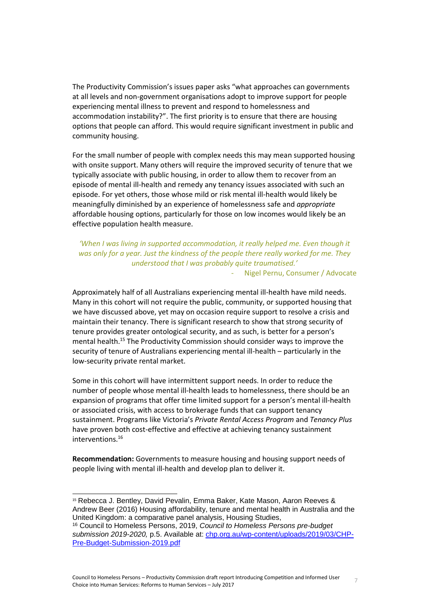The Productivity Commission's issues paper asks "what approaches can governments at all levels and non-government organisations adopt to improve support for people experiencing mental illness to prevent and respond to homelessness and accommodation instability?". The first priority is to ensure that there are housing options that people can afford. This would require significant investment in public and community housing.

For the small number of people with complex needs this may mean supported housing with onsite support. Many others will require the improved security of tenure that we typically associate with public housing, in order to allow them to recover from an episode of mental ill-health and remedy any tenancy issues associated with such an episode. For yet others, those whose mild or risk mental ill-health would likely be meaningfully diminished by an experience of homelessness safe and *appropriate* affordable housing options, particularly for those on low incomes would likely be an effective population health measure.

*'When I was living in supported accommodation, it really helped me. Even though it was only for a year. Just the kindness of the people there really worked for me. They understood that I was probably quite traumatised.'*

Nigel Pernu, Consumer / Advocate

Approximately half of all Australians experiencing mental ill-health have mild needs. Many in this cohort will not require the public, community, or supported housing that we have discussed above, yet may on occasion require support to resolve a crisis and maintain their tenancy. There is significant research to show that strong security of tenure provides greater ontological security, and as such, is better for a person's mental health.<sup>15</sup> The Productivity Commission should consider ways to improve the security of tenure of Australians experiencing mental ill-health – particularly in the low-security private rental market.

Some in this cohort will have intermittent support needs. In order to reduce the number of people whose mental ill-health leads to homelessness, there should be an expansion of programs that offer time limited support for a person's mental ill-health or associated crisis, with access to brokerage funds that can support tenancy sustainment. Programs like Victoria's *Private Rental Access Program* and *Tenancy Plus*  have proven both cost-effective and effective at achieving tenancy sustainment interventions.<sup>16</sup>

**Recommendation:** Governments to measure housing and housing support needs of people living with mental ill-health and develop plan to deliver it.

<sup>15</sup> Rebecca J. Bentley, David Pevalin, Emma Baker, Kate Mason, Aaron Reeves & Andrew Beer (2016) Housing affordability, tenure and mental health in Australia and the United Kingdom: a comparative panel analysis, Housing Studies,

<sup>16</sup> Council to Homeless Persons, 2019, *Council to Homeless Persons pre-budget submission 2019-2020,* p.5. Available at: [chp.org.au/wp-content/uploads/2019/03/CHP-](http://chp.org.au/wp-content/uploads/2019/03/CHP-Pre-Budget-Submission-2019.pdf)[Pre-Budget-Submission-2019.pdf](http://chp.org.au/wp-content/uploads/2019/03/CHP-Pre-Budget-Submission-2019.pdf)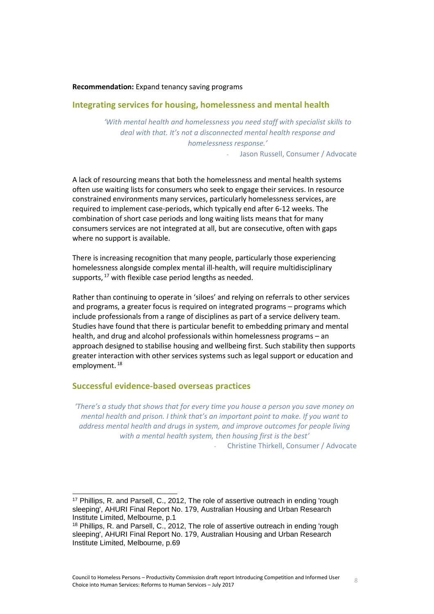#### **Recommendation:** Expand tenancy saving programs

#### <span id="page-7-0"></span>**Integrating services for housing, homelessness and mental health**

*'With mental health and homelessness you need staff with specialist skills to deal with that. It's not a disconnected mental health response and homelessness response.'*

Jason Russell, Consumer / Advocate

A lack of resourcing means that both the homelessness and mental health systems often use waiting lists for consumers who seek to engage their services. In resource constrained environments many services, particularly homelessness services, are required to implement case-periods, which typically end after 6-12 weeks. The combination of short case periods and long waiting lists means that for many consumers services are not integrated at all, but are consecutive, often with gaps where no support is available.

There is increasing recognition that many people, particularly those experiencing homelessness alongside complex mental ill-health, will require multidisciplinary supports, <sup>17</sup> with flexible case period lengths as needed.

Rather than continuing to operate in 'siloes' and relying on referrals to other services and programs, a greater focus is required on integrated programs – programs which include professionals from a range of disciplines as part of a service delivery team. Studies have found that there is particular benefit to embedding primary and mental health, and drug and alcohol professionals within homelessness programs – an approach designed to stabilise housing and wellbeing first. Such stability then supports greater interaction with other services systems such as legal support or education and employment. 18

#### **Successful evidence-based overseas practices**

 $\overline{a}$ 

*'There's a study that shows that for every time you house a person you save money on mental health and prison. I think that's an important point to make. If you want to address mental health and drugs in system, and improve outcomes for people living with a mental health system, then housing first is the best'*

- Christine Thirkell, Consumer / Advocate

<sup>17</sup> Phillips, R. and Parsell, C., 2012, The role of assertive outreach in ending 'rough sleeping', AHURI Final Report No. 179, Australian Housing and Urban Research Institute Limited, Melbourne, p.1

<sup>18</sup> Phillips, R. and Parsell, C., 2012, The role of assertive outreach in ending 'rough sleeping', AHURI Final Report No. 179, Australian Housing and Urban Research Institute Limited, Melbourne, p.69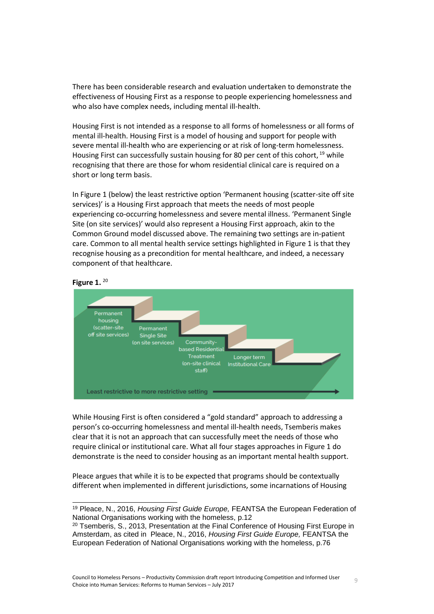There has been considerable research and evaluation undertaken to demonstrate the effectiveness of Housing First as a response to people experiencing homelessness and who also have complex needs, including mental ill-health.

Housing First is not intended as a response to all forms of homelessness or all forms of mental ill-health. Housing First is a model of housing and support for people with severe mental ill-health who are experiencing or at risk of long-term homelessness. Housing First can successfully sustain housing for 80 per cent of this cohort, <sup>19</sup> while recognising that there are those for whom residential clinical care is required on a short or long term basis.

In Figure 1 (below) the least restrictive option 'Permanent housing (scatter-site off site services)' is a Housing First approach that meets the needs of most people experiencing co-occurring homelessness and severe mental illness. 'Permanent Single Site (on site services)' would also represent a Housing First approach, akin to the Common Ground model discussed above. The remaining two settings are in-patient care. Common to all mental health service settings highlighted in Figure 1 is that they recognise housing as a precondition for mental healthcare, and indeed, a necessary component of that healthcare.



#### **Figure 1.** <sup>20</sup>

l

While Housing First is often considered a "gold standard" approach to addressing a person's co-occurring homelessness and mental ill-health needs, Tsemberis makes clear that it is not an approach that can successfully meet the needs of those who require clinical or institutional care. What all four stages approaches in Figure 1 do demonstrate is the need to consider housing as an important mental health support.

Pleace argues that while it is to be expected that programs should be contextually different when implemented in different jurisdictions, some incarnations of Housing

<sup>19</sup> Pleace, N., 2016, *Housing First Guide Europe,* FEANTSA the European Federation of National Organisations working with the homeless, p.12

 $20$  Tsemberis, S., 2013, Presentation at the Final Conference of Housing First Europe in Amsterdam, as cited in Pleace, N., 2016, *Housing First Guide Europe,* FEANTSA the European Federation of National Organisations working with the homeless, p.76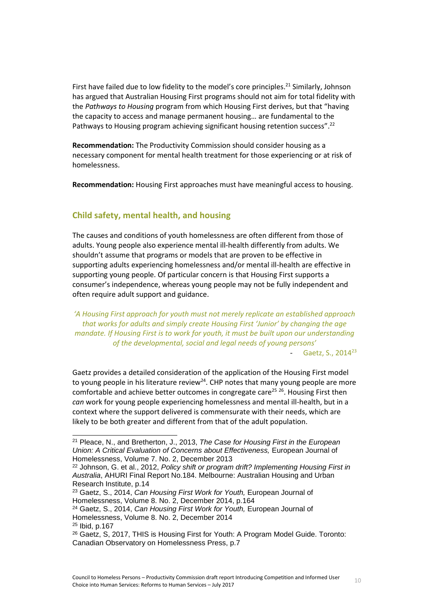First have failed due to low fidelity to the model's core principles.<sup>21</sup> Similarly, Johnson has argued that Australian Housing First programs should not aim for total fidelity with the *Pathways to Housing* program from which Housing First derives, but that "having the capacity to access and manage permanent housing… are fundamental to the Pathways to Housing program achieving significant housing retention success".<sup>22</sup>

**Recommendation:** The Productivity Commission should consider housing as a necessary component for mental health treatment for those experiencing or at risk of homelessness.

**Recommendation:** Housing First approaches must have meaningful access to housing.

### **Child safety, mental health, and housing**

The causes and conditions of youth homelessness are often different from those of adults. Young people also experience mental ill-health differently from adults. We shouldn't assume that programs or models that are proven to be effective in supporting adults experiencing homelessness and/or mental ill-health are effective in supporting young people. Of particular concern is that Housing First supports a consumer's independence, whereas young people may not be fully independent and often require adult support and guidance.

*'A Housing First approach for youth must not merely replicate an established approach that works for adults and simply create Housing First 'Junior' by changing the age mandate. If Housing First is to work for youth, it must be built upon our understanding of the developmental, social and legal needs of young persons'* Gaetz, S., 2014<sup>23</sup>

Gaetz provides a detailed consideration of the application of the Housing First model to young people in his literature review<sup>24</sup>. CHP notes that many young people are more comfortable and achieve better outcomes in congregate care<sup>25 26</sup>. Housing First then *can* work for young people experiencing homelessness and mental ill-health, but in a context where the support delivered is commensurate with their needs, which are likely to be both greater and different from that of the adult population.

<sup>21</sup> Pleace, N., and Bretherton, J., 2013, *The Case for Housing First in the European Union: A Critical Evaluation of Concerns about Effectiveness,* European Journal of Homelessness, Volume 7. No. 2, December 2013

<sup>22</sup> Johnson, G. et al., 2012, *Policy shift or program drift? Implementing Housing First in Australia*, AHURI Final Report No.184. Melbourne: Australian Housing and Urban Research Institute, p.14

<sup>23</sup> Gaetz, S., 2014, *Can Housing First Work for Youth,* European Journal of Homelessness, Volume 8. No. 2, December 2014, p.164

<sup>24</sup> Gaetz, S., 2014, *Can Housing First Work for Youth,* European Journal of Homelessness, Volume 8. No. 2, December 2014

<sup>25</sup> Ibid, p.167

<sup>26</sup> Gaetz, S, 2017, THIS is Housing First for Youth: A Program Model Guide. Toronto: Canadian Observatory on Homelessness Press, p.7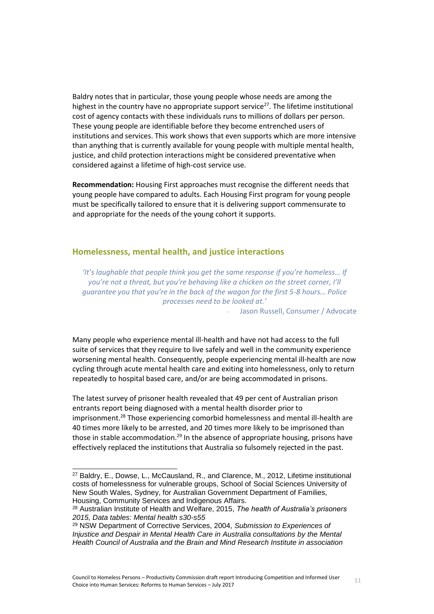Baldry notes that in particular, those young people whose needs are among the highest in the country have no appropriate support service<sup>27</sup>. The lifetime institutional cost of agency contacts with these individuals runs to millions of dollars per person. These young people are identifiable before they become entrenched users of institutions and services. This work shows that even supports which are more intensive than anything that is currently available for young people with multiple mental health, justice, and child protection interactions might be considered preventative when considered against a lifetime of high-cost service use.

**Recommendation:** Housing First approaches must recognise the different needs that young people have compared to adults. Each Housing First program for young people must be specifically tailored to ensure that it is delivering support commensurate to and appropriate for the needs of the young cohort it supports.

#### <span id="page-10-0"></span>**Homelessness, mental health, and justice interactions**

*'It's laughable that people think you get the same response if you're homeless… If you're not a threat, but you're behaving like a chicken on the street corner, I'll guarantee you that you're in the back of the wagon for the first 5-8 hours… Police processes need to be looked at.'*

Jason Russell, Consumer / Advocate

Many people who experience mental ill-health and have not had access to the full suite of services that they require to live safely and well in the community experience worsening mental health. Consequently, people experiencing mental ill-health are now cycling through acute mental health care and exiting into homelessness, only to return repeatedly to hospital based care, and/or are being accommodated in prisons.

The latest survey of prisoner health revealed that 49 per cent of Australian prison entrants report being diagnosed with a mental health disorder prior to imprisonment.<sup>28</sup> Those experiencing comorbid homelessness and mental ill-health are 40 times more likely to be arrested, and 20 times more likely to be imprisoned than those in stable accommodation.<sup>29</sup> In the absence of appropriate housing, prisons have effectively replaced the institutions that Australia so fulsomely rejected in the past.

<sup>27</sup> Baldry, E., Dowse, L., McCausland, R., and Clarence, M., 2012, Lifetime institutional costs of homelessness for vulnerable groups, School of Social Sciences University of New South Wales, Sydney, for Australian Government Department of Families, Housing, Community Services and Indigenous Affairs.

<sup>28</sup> Australian Institute of Health and Welfare, 2015, *The health of Australia's prisoners 2015, Data tables: Mental health s30-s55*

<sup>29</sup> NSW Department of Corrective Services, 2004, *Submission to Experiences of Injustice and Despair in Mental Health Care in Australia consultations by the Mental Health Council of Australia and the Brain and Mind Research Institute in association*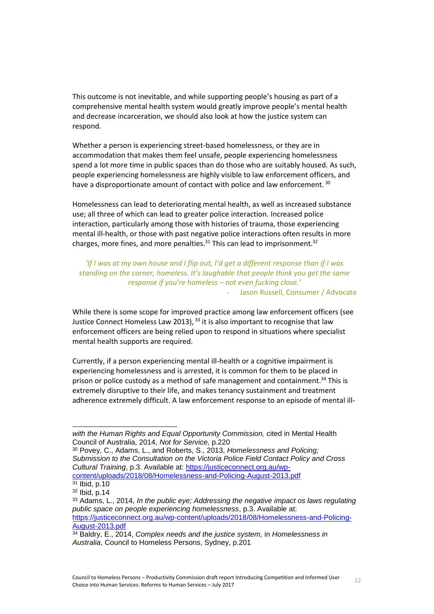This outcome is not inevitable, and while supporting people's housing as part of a comprehensive mental health system would greatly improve people's mental health and decrease incarceration, we should also look at how the justice system can respond.

Whether a person is experiencing street-based homelessness, or they are in accommodation that makes them feel unsafe, people experiencing homelessness spend a lot more time in public spaces than do those who are suitably housed. As such, people experiencing homelessness are highly visible to law enforcement officers, and have a disproportionate amount of contact with police and law enforcement. 30

Homelessness can lead to deteriorating mental health, as well as increased substance use; all three of which can lead to greater police interaction. Increased police interaction, particularly among those with histories of trauma, those experiencing mental ill-health, or those with past negative police interactions often results in more charges, more fines, and more penalties. $31$  This can lead to imprisonment.<sup>32</sup>

*'If I was at my own house and I flip out, I'd get a different response than if I was standing on the corner, homeless. It's laughable that people think you get the same response if you're homeless – not even fucking close.'* Jason Russell, Consumer / Advocate

While there is some scope for improved practice among law enforcement officers (see Justice Connect Homeless Law 2013),  $33$  it is also important to recognise that law enforcement officers are being relied upon to respond in situations where specialist mental health supports are required.

Currently, if a person experiencing mental ill-health or a cognitive impairment is experiencing homelessness and is arrested, it is common for them to be placed in prison or police custody as a method of safe management and containment.<sup>34</sup> This is extremely disruptive to their life, and makes tenancy sustainment and treatment adherence extremely difficult. A law enforcement response to an episode of mental ill-

l

*with the Human Rights and Equal Opportunity Commission,* cited in Mental Health Council of Australia, 2014, *Not for Service,* p.220

<sup>30</sup> Povey, C., Adams, L., and Roberts, S., 2013, *Homelessness and Policing; Submission to the Consultation on the Victoria Police Field Contact Policy and Cross Cultural Training*, p.3. Available at: [https://justiceconnect.org.au/wp](https://justiceconnect.org.au/wp-content/uploads/2018/08/Homelessness-and-Policing-August-2013.pdf)[content/uploads/2018/08/Homelessness-and-Policing-August-2013.pdf](https://justiceconnect.org.au/wp-content/uploads/2018/08/Homelessness-and-Policing-August-2013.pdf)

<sup>31</sup> Ibid, p.10

<sup>32</sup> Ibid, p.14

<sup>33</sup> Adams, L., 2014, *In the public eye; Addressing the negative impact os laws regulating public space on people experiencing homelessness*, p.3. Available at: [https://justiceconnect.org.au/wp-content/uploads/2018/08/Homelessness-and-Policing-](https://justiceconnect.org.au/wp-content/uploads/2018/08/Homelessness-and-Policing-August-2013.pdf)[August-2013.pdf](https://justiceconnect.org.au/wp-content/uploads/2018/08/Homelessness-and-Policing-August-2013.pdf)

<sup>34</sup> Baldry, E., 2014, *Complex needs and the justice system,* in *Homelessness in Australia*, Council to Homeless Persons, Sydney, p.201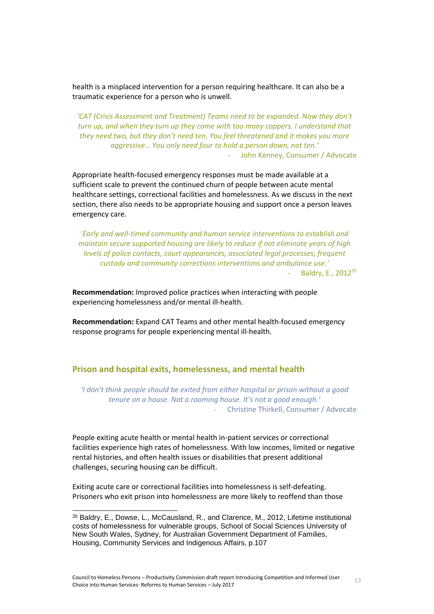health is a misplaced intervention for a person requiring healthcare. It can also be a traumatic experience for a person who is unwell.

*'CAT (Crisis Assessment and Treatment) Teams need to be expanded. Now they don't turn up, and when they turn up they come with too many coppers. I understand that they need two, but they don't need ten. You feel threatened and it makes you more aggressive… You only need four to hold a person down, not ten.'* John Kenney, Consumer / Advocate

Appropriate health-focused emergency responses must be made available at a sufficient scale to prevent the continued churn of people between acute mental healthcare settings, correctional facilities and homelessness. As we discuss in the next section, there also needs to be appropriate housing and support once a person leaves emergency care.

*'Early and well-timed community and human service interventions to establish and maintain secure supported housing are likely to reduce if not eliminate years of high levels of police contacts, court appearances, associated legal processes, frequent custody and community corrections interventions and ambulance use.'* Baldry, E., 2012<sup>35</sup>

**Recommendation:** Improved police practices when interacting with people experiencing homelessness and/or mental ill-health.

**Recommendation:** Expand CAT Teams and other mental health-focused emergency response programs for people experiencing mental ill-health.

#### <span id="page-12-0"></span>**Prison and hospital exits, homelessness, and mental health**

*'I don't think people should be exited from either hospital or prison without a good tenure on a house. Not a rooming house. It's not a good enough.'* - Christine Thirkell, Consumer / Advocate

People exiting acute health or mental health in-patient services or correctional facilities experience high rates of homelessness. With low incomes, limited or negative rental histories, and often health issues or disabilities that present additional challenges, securing housing can be difficult.

Exiting acute care or correctional facilities into homelessness is self-defeating. Prisoners who exit prison into homelessness are more likely to reoffend than those

<sup>35</sup> Baldry, E., Dowse, L., McCausland, R., and Clarence, M., 2012, Lifetime institutional costs of homelessness for vulnerable groups, School of Social Sciences University of New South Wales, Sydney, for Australian Government Department of Families, Housing, Community Services and Indigenous Affairs, p.107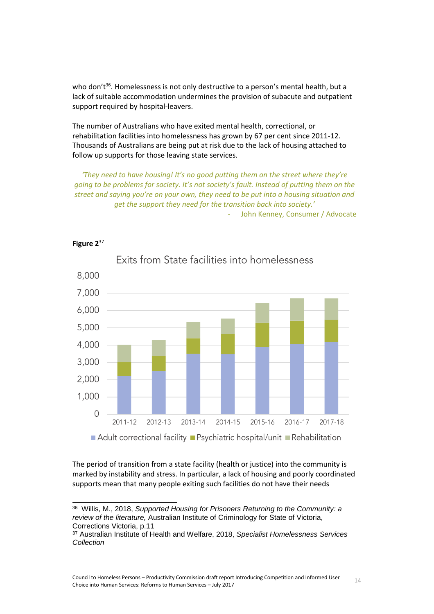who don't<sup>36</sup>. Homelessness is not only destructive to a person's mental health, but a lack of suitable accommodation undermines the provision of subacute and outpatient support required by hospital-leavers.

The number of Australians who have exited mental health, correctional, or rehabilitation facilities into homelessness has grown by 67 per cent since 2011-12. Thousands of Australians are being put at risk due to the lack of housing attached to follow up supports for those leaving state services.

*'They need to have housing! It's no good putting them on the street where they're going to be problems for society. It's not society's fault. Instead of putting them on the street and saying you're on your own, they need to be put into a housing situation and get the support they need for the transition back into society.'*

- John Kenney, Consumer / Advocate



#### **Figure 2**<sup>37</sup>

l

The period of transition from a state facility (health or justice) into the community is marked by instability and stress. In particular, a lack of housing and poorly coordinated supports mean that many people exiting such facilities do not have their needs

<sup>36</sup> Willis, M., 2018, *Supported Housing for Prisoners Returning to the Community: a review of the literature,* Australian Institute of Criminology for State of Victoria, Corrections Victoria, p.11

<sup>37</sup> Australian Institute of Health and Welfare, 2018, *Specialist Homelessness Services Collection*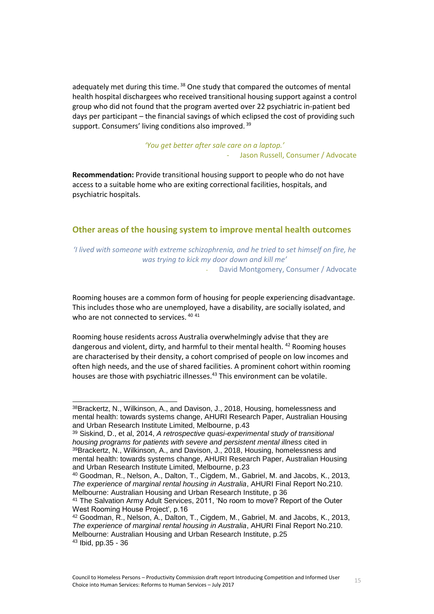adequately met during this time.<sup>38</sup> One study that compared the outcomes of mental health hospital dischargees who received transitional housing support against a control group who did not found that the program averted over 22 psychiatric in-patient bed days per participant – the financial savings of which eclipsed the cost of providing such support. Consumers' living conditions also improved.<sup>39</sup>

> *'You get better after sale care on a laptop.'* Jason Russell, Consumer / Advocate

**Recommendation:** Provide transitional housing support to people who do not have access to a suitable home who are exiting correctional facilities, hospitals, and psychiatric hospitals.

#### <span id="page-14-0"></span>**Other areas of the housing system to improve mental health outcomes**

*'I lived with someone with extreme schizophrenia, and he tried to set himself on fire, he was trying to kick my door down and kill me'* David Montgomery, Consumer / Advocate

Rooming houses are a common form of housing for people experiencing disadvantage. This includes those who are unemployed, have a disability, are socially isolated, and who are not connected to services. 40 41

Rooming house residents across Australia overwhelmingly advise that they are dangerous and violent, dirty, and harmful to their mental health. <sup>42</sup> Rooming houses are characterised by their density, a cohort comprised of people on low incomes and often high needs, and the use of shared facilities. A prominent cohort within rooming houses are those with psychiatric illnesses. <sup>43</sup> This environment can be volatile.

 $\overline{a}$ 

<sup>40</sup> Goodman, R., Nelson, A., Dalton, T., Cigdem, M., Gabriel, M. and Jacobs, K., 2013, *The experience of marginal rental housing in Australia*, AHURI Final Report No.210. Melbourne: Australian Housing and Urban Research Institute, p 36

<sup>38</sup>Brackertz, N., Wilkinson, A., and Davison, J., 2018, Housing, homelessness and mental health: towards systems change, AHURI Research Paper, Australian Housing and Urban Research Institute Limited, Melbourne, p.43

<sup>39</sup> Siskind, D., et al, 2014, *A retrospective quasi-experimental study of transitional housing programs for patients with severe and persistent mental illness* cited in 39Brackertz, N., Wilkinson, A., and Davison, J., 2018, Housing, homelessness and mental health: towards systems change, AHURI Research Paper, Australian Housing and Urban Research Institute Limited, Melbourne, p.23

<sup>41</sup> The Salvation Army Adult Services, 2011, 'No room to move? Report of the Outer West Rooming House Project', p.16

<sup>42</sup> Goodman, R., Nelson, A., Dalton, T., Cigdem, M., Gabriel, M. and Jacobs, K., 2013, *The experience of marginal rental housing in Australia*, AHURI Final Report No.210. Melbourne: Australian Housing and Urban Research Institute, p.25 <sup>43</sup> Ibid, pp.35 - 36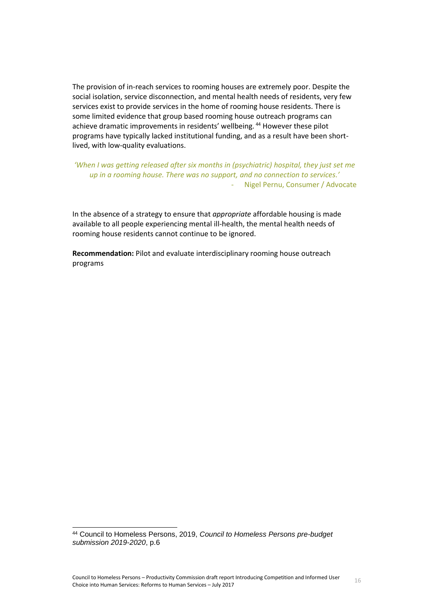The provision of in-reach services to rooming houses are extremely poor. Despite the social isolation, service disconnection, and mental health needs of residents, very few services exist to provide services in the home of rooming house residents. There is some limited evidence that group based rooming house outreach programs can achieve dramatic improvements in residents' wellbeing. <sup>44</sup> However these pilot programs have typically lacked institutional funding, and as a result have been shortlived, with low-quality evaluations.

*'When I was getting released after six months in (psychiatric) hospital, they just set me up in a rooming house. There was no support, and no connection to services.'* - Nigel Pernu, Consumer / Advocate

In the absence of a strategy to ensure that *appropriate* affordable housing is made available to all people experiencing mental ill-health, the mental health needs of rooming house residents cannot continue to be ignored.

**Recommendation:** Pilot and evaluate interdisciplinary rooming house outreach programs

<sup>44</sup> Council to Homeless Persons, 2019, *Council to Homeless Persons pre-budget submission 2019-2020*, p.6

l